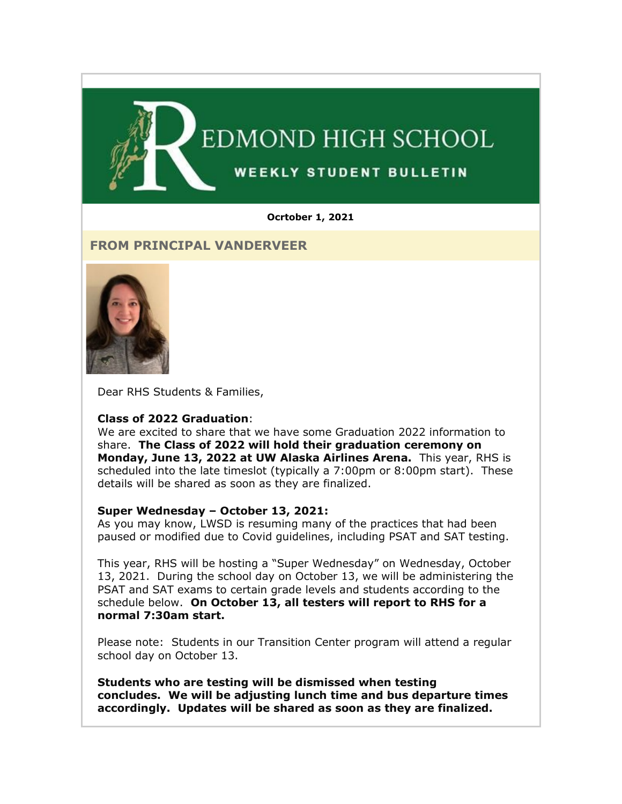

#### **Ocrtober 1, 2021**

## **FROM PRINCIPAL VANDERVEER**



Dear RHS Students & Families,

#### **Class of 2022 Graduation**:

We are excited to share that we have some Graduation 2022 information to share. **The Class of 2022 will hold their graduation ceremony on Monday, June 13, 2022 at UW Alaska Airlines Arena.** This year, RHS is scheduled into the late timeslot (typically a 7:00pm or 8:00pm start). These details will be shared as soon as they are finalized.

#### **Super Wednesday – October 13, 2021:**

As you may know, LWSD is resuming many of the practices that had been paused or modified due to Covid guidelines, including PSAT and SAT testing.

This year, RHS will be hosting a "Super Wednesday" on Wednesday, October 13, 2021. During the school day on October 13, we will be administering the PSAT and SAT exams to certain grade levels and students according to the schedule below. **On October 13, all testers will report to RHS for a normal 7:30am start.**

Please note: Students in our Transition Center program will attend a regular school day on October 13.

**Students who are testing will be dismissed when testing concludes. We will be adjusting lunch time and bus departure times accordingly. Updates will be shared as soon as they are finalized.**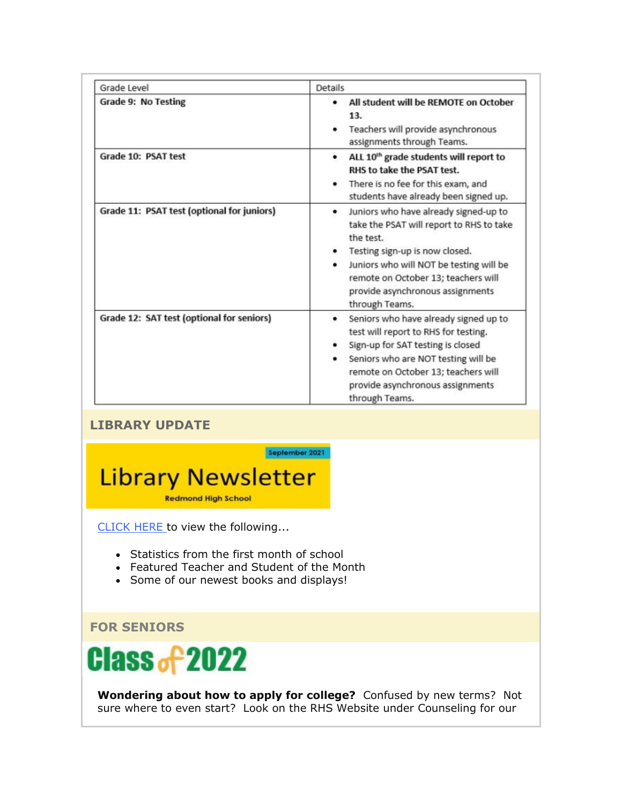| Grade Level                                | <b>Details</b>                                                                                                                                                                                                                                                                     |
|--------------------------------------------|------------------------------------------------------------------------------------------------------------------------------------------------------------------------------------------------------------------------------------------------------------------------------------|
| <b>Grade 9: No Testing</b>                 | All student will be REMOTE on October<br>٠<br>13.<br>Teachers will provide asynchronous<br>assignments through Teams.                                                                                                                                                              |
| Grade 10: PSAT test                        | ALL 10 <sup>th</sup> grade students will report to<br>٠<br>RHS to take the PSAT test.<br>There is no fee for this exam, and<br>٠<br>students have already been signed up.                                                                                                          |
| Grade 11: PSAT test (optional for juniors) | Juniors who have already signed-up to<br>٠<br>take the PSAT will report to RHS to take<br>the test.<br>Testing sign-up is now closed.<br>٠<br>Juniors who will NOT be testing will be<br>remote on October 13; teachers will<br>provide asynchronous assignments<br>through Teams. |
| Grade 12: SAT test (optional for seniors)  | Seniors who have already signed up to<br>test will report to RHS for testing.<br>Sign-up for SAT testing is closed<br>Seniors who are NOT testing will be<br>remote on October 13; teachers will<br>provide asynchronous assignments<br>through Teams.                             |

# **LIBRARY UPDATE**



[CLICK HERE](https://nam02.safelinks.protection.outlook.com/?url=http%3A%2F%2Flink.email.dynect.net%2Flink.php%3FDynEngagement%3Dtrue%26H%3DbyPkDFxves6EOGDn1peRNeIe02OIJH5CdLqxMLzUeO8xfJUQzDOhsO1bHLttkS3hqpXV6Nsc44yxbPt4syLkKHcdjk7h%252FC%252BMrC0fWMYPjc9PupiBzZzFvw%253D%253D%26G%3D0%26R%3Dhttps%253A%252F%252FGLITGYZTANA.hatchbuck.com%252FTrackLinkClick%253FID2%253DXqytLciY-pfXKXYv6spf1InSxBq55WwlD_CCnnuiwKcFuLp6ZqJOgDo9Wo5aZdIU0%26I%3D20211001223913.000000228b1c%2540mail6-64-ussnn1%26X%3DMHwxMjY0OTIyOjIyMzg0MDMyNTA7MXwxMjY0OTIzOjE3OTA1MzMwNDs%253D%26V%3D3%26S%3DdaNno_6RvmXHAM3yHYoTvfUdePy9LktC0jWuF65B9Vw&data=04%7C01%7Cmwood%40lwsd.org%7C0f1b6766c38a45ee8fe508d9852c5129%7C1fd4673fdf9646218638a1d88c4c85d7%7C0%7C0%7C637687247656934101%7CUnknown%7CTWFpbGZsb3d8eyJWIjoiMC4wLjAwMDAiLCJQIjoiV2luMzIiLCJBTiI6Ik1haWwiLCJXVCI6Mn0%3D%7C1000&sdata=eCQo0PZ1YQ%2Fu8bQgpTlu0GmKNSKEMTq1KGQ8GiwV%2Bd0%3D&reserved=0) to view the following...

- Statistics from the first month of school
- Featured Teacher and Student of the Month
- Some of our newest books and displays!

**FOR SENIORS**



**Wondering about how to apply for college?** Confused by new terms? Not sure where to even start? Look on the RHS Website under Counseling for our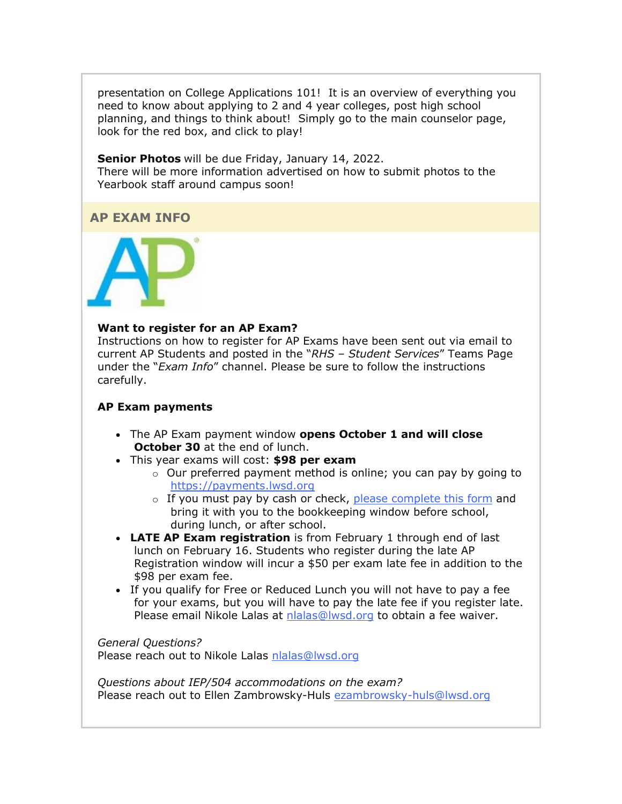presentation on College Applications 101! It is an overview of everything you need to know about applying to 2 and 4 year colleges, post high school planning, and things to think about! Simply go to the main counselor page, look for the red box, and click to play!

**Senior Photos** will be due Friday, January 14, 2022. There will be more information advertised on how to submit photos to the Yearbook staff around campus soon!

## **AP EXAM INFO**



#### **Want to register for an AP Exam?**

Instructions on how to register for AP Exams have been sent out via email to current AP Students and posted in the "*RHS – Student Services*" Teams Page under the "*Exam Info*" channel. Please be sure to follow the instructions carefully.

## **AP Exam payments**

- The AP Exam payment window **opens October 1 and will close October 30** at the end of lunch.
- This year exams will cost: **\$98 per exam**
	- $\circ$  Our preferred payment method is online; you can pay by going to [https://payments.lwsd.org](https://nam02.safelinks.protection.outlook.com/?url=http%3A%2F%2Flink.email.dynect.net%2Flink.php%3FDynEngagement%3Dtrue%26H%3DbyPkDFxves6EOGDn1peRNeIe02OIJH5CdLqxMLzUeO8xfJUQzDOhsO1bHLttkS3hqpXV6Nsc44yxbPt4syLkKHcdjk7h%252FC%252BMrC0fWMYPjc9PupiBzZzFvw%253D%253D%26G%3D0%26R%3Dhttps%253A%252F%252FGLITGYZTANA.hatchbuck.com%252FTrackLinkClick%253FID2%253DXKsKGLZ_1VfbEDV5LRSf34TKNeODYHjG8quVHZLpz9DbGQcmY9KmutZfB_3oJNbL0%26I%3D20211001223913.000000228b1c%2540mail6-64-ussnn1%26X%3DMHwxMjY0OTIyOjIyMzg0MDMyNTA7MXwxMjY0OTIzOjE3OTA1MzMwNDs%253D%26V%3D3%26S%3DDy3Fcwj7wCxcIVydZfLnKVT9Hvnw0nXpilJRlA4758w&data=04%7C01%7Cmwood%40lwsd.org%7C0f1b6766c38a45ee8fe508d9852c5129%7C1fd4673fdf9646218638a1d88c4c85d7%7C0%7C0%7C637687247656944096%7CUnknown%7CTWFpbGZsb3d8eyJWIjoiMC4wLjAwMDAiLCJQIjoiV2luMzIiLCJBTiI6Ik1haWwiLCJXVCI6Mn0%3D%7C1000&sdata=jUM1hiGALMfE9z6a9sVWc55nX94a%2BQgJCpI%2B%2Bds%2FKZ8%3D&reserved=0)
	- o If you must pay by cash or check, [please complete this form](https://nam02.safelinks.protection.outlook.com/?url=http%3A%2F%2Flink.email.dynect.net%2Flink.php%3FDynEngagement%3Dtrue%26H%3DbyPkDFxves6EOGDn1peRNeIe02OIJH5CdLqxMLzUeO8xfJUQzDOhsO1bHLttkS3hqpXV6Nsc44yxbPt4syLkKHcdjk7h%252FC%252BMrC0fWMYPjc9PupiBzZzFvw%253D%253D%26G%3D0%26R%3Dhttps%253A%252F%252FGLITGYZTANA.hatchbuck.com%252FTrackLinkClick%253FID2%253DL0HoOomqlrS-gc5EU8qrJDJYMe18PB8StDgitqS4G1dOWoTSyhRol2z4nLnYPJvv0%26I%3D20211001223913.000000228b1c%2540mail6-64-ussnn1%26X%3DMHwxMjY0OTIyOjIyMzg0MDMyNTA7MXwxMjY0OTIzOjE3OTA1MzMwNDs%253D%26V%3D3%26S%3D5CgnTd7pET0WXJ3THWxtGJdkc9zFYu5fNSOiVxuYvAk&data=04%7C01%7Cmwood%40lwsd.org%7C0f1b6766c38a45ee8fe508d9852c5129%7C1fd4673fdf9646218638a1d88c4c85d7%7C0%7C0%7C637687247656954093%7CUnknown%7CTWFpbGZsb3d8eyJWIjoiMC4wLjAwMDAiLCJQIjoiV2luMzIiLCJBTiI6Ik1haWwiLCJXVCI6Mn0%3D%7C1000&sdata=z1evvtilvLVA%2BhbAmmqdigSOZTVQCHIIFzQ5VeKrbUY%3D&reserved=0) and bring it with you to the bookkeeping window before school, during lunch, or after school.
- **LATE AP Exam registration** is from February 1 through end of last lunch on February 16. Students who register during the late AP Registration window will incur a \$50 per exam late fee in addition to the \$98 per exam fee.
- If you qualify for Free or Reduced Lunch you will not have to pay a fee for your exams, but you will have to pay the late fee if you register late. Please email Nikole Lalas at [nlalas@lwsd.org](mailto:nlalas@lwsd.org) to obtain a fee waiver.

*General Questions?*  Please reach out to Nikole Lalas [nlalas@lwsd.org](mailto:nlalas@lwsd.org)

*Questions about IEP/504 accommodations on the exam?*  Please reach out to Ellen Zambrowsky-Huls [ezambrowsky-huls@lwsd.org](mailto:ezambrowsky-huls@lwsd.org)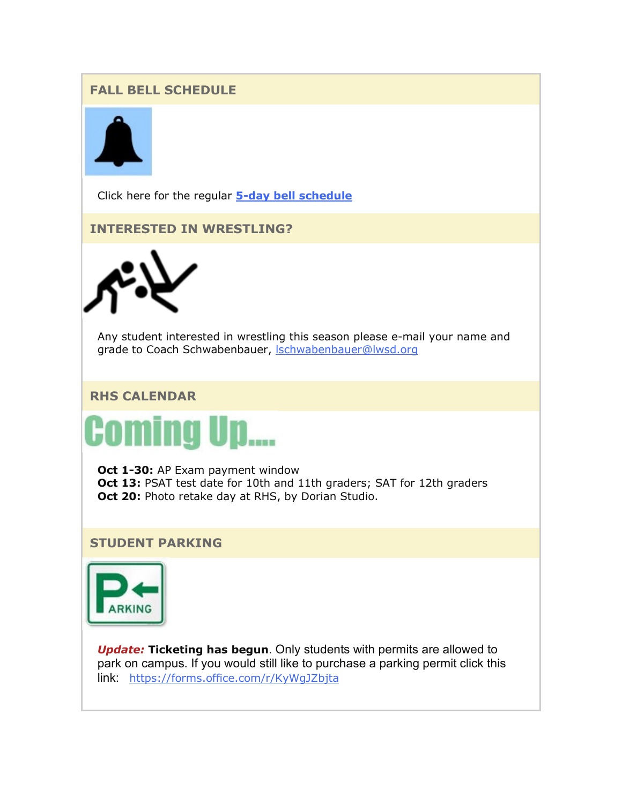# **FALL BELL SCHEDULE**



Click here for the regular **[5-day bell schedule](https://nam02.safelinks.protection.outlook.com/?url=http%3A%2F%2Flink.email.dynect.net%2Flink.php%3FDynEngagement%3Dtrue%26H%3DbyPkDFxves6EOGDn1peRNeIe02OIJH5CdLqxMLzUeO8xfJUQzDOhsO1bHLttkS3hqpXV6Nsc44yxbPt4syLkKHcdjk7h%252FC%252BMrC0fWMYPjc9PupiBzZzFvw%253D%253D%26G%3D0%26R%3Dhttps%253A%252F%252FGLITGYZTANA.hatchbuck.com%252FTrackLinkClick%253FID2%253DGXYMvRuwHbY81qxX7jxsuw5-MKgE9dqx8NNw-R0NCEW1rOCIH-tHkMnAxWjteuTU0%26I%3D20211001223913.000000228b1c%2540mail6-64-ussnn1%26X%3DMHwxMjY0OTIyOjIyMzg0MDMyNTA7MXwxMjY0OTIzOjE3OTA1MzMwNDs%253D%26V%3D3%26S%3DWMXW5jdJbqaybRKqTySNZt18DgPIwTGBrGv24jpJYbg&data=04%7C01%7Cmwood%40lwsd.org%7C0f1b6766c38a45ee8fe508d9852c5129%7C1fd4673fdf9646218638a1d88c4c85d7%7C0%7C0%7C637687247656954093%7CUnknown%7CTWFpbGZsb3d8eyJWIjoiMC4wLjAwMDAiLCJQIjoiV2luMzIiLCJBTiI6Ik1haWwiLCJXVCI6Mn0%3D%7C1000&sdata=EWIwFrpj0ptBdbkR5czmRKLh7WQs3bYTS3gOdyDPfNk%3D&reserved=0)**

**INTERESTED IN WRESTLING?**



Any student interested in wrestling this season please e-mail your name and grade to Coach Schwabenbauer, **Schwabenbauer@lwsd.org** 

# **RHS CALENDAR**



**Oct 1-30: AP Exam payment window Oct 13:** PSAT test date for 10th and 11th graders; SAT for 12th graders **Oct 20:** Photo retake day at RHS, by Dorian Studio.

## **STUDENT PARKING**



*Update:* **Ticketing has begun**. Only students with permits are allowed to park on campus. If you would still like to purchase a parking permit click this link: [https://forms.office.com/r/KyWgJZbjta](https://nam02.safelinks.protection.outlook.com/?url=http%3A%2F%2Flink.email.dynect.net%2Flink.php%3FDynEngagement%3Dtrue%26H%3DbyPkDFxves6EOGDn1peRNeIe02OIJH5CdLqxMLzUeO8xfJUQzDOhsO1bHLttkS3hqpXV6Nsc44yxbPt4syLkKHcdjk7h%252FC%252BMrC0fWMYPjc9PupiBzZzFvw%253D%253D%26G%3D0%26R%3Dhttps%253A%252F%252FGLITGYZTANA.hatchbuck.com%252FTrackLinkClick%253FID2%253DtkmIkLRcd1WVLcgReVGuzSzHSagSBWqVIHyGo4Lm9G0bP6qyvoHc-VVE6GuEVNgw0%26I%3D20211001223913.000000228b1c%2540mail6-64-ussnn1%26X%3DMHwxMjY0OTIyOjIyMzg0MDMyNTA7MXwxMjY0OTIzOjE3OTA1MzMwNDs%253D%26V%3D3%26S%3DccZbZVVi07A4TEmXzMSvY9z5x8305L-0qpqWt_Kww0s&data=04%7C01%7Cmwood%40lwsd.org%7C0f1b6766c38a45ee8fe508d9852c5129%7C1fd4673fdf9646218638a1d88c4c85d7%7C0%7C0%7C637687247656964087%7CUnknown%7CTWFpbGZsb3d8eyJWIjoiMC4wLjAwMDAiLCJQIjoiV2luMzIiLCJBTiI6Ik1haWwiLCJXVCI6Mn0%3D%7C1000&sdata=eDHN%2FunB2Q3jzaSok1zMuX57c6QzrT5i4Z7FhdCD4Gs%3D&reserved=0)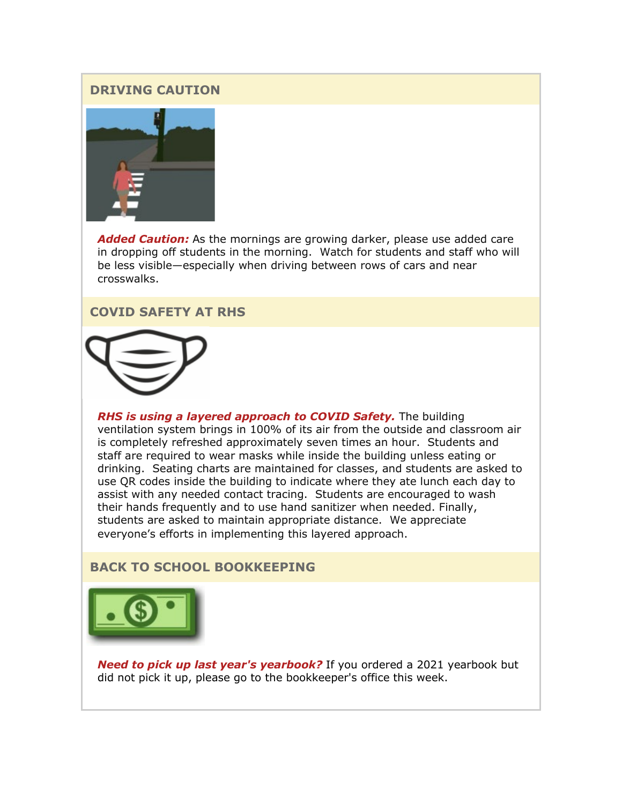## **DRIVING CAUTION**



*Added Caution:* As the mornings are growing darker, please use added care in dropping off students in the morning. Watch for students and staff who will be less visible—especially when driving between rows of cars and near crosswalks.

## **COVID SAFETY AT RHS**



*RHS is using a layered approach to COVID Safety.* The building ventilation system brings in 100% of its air from the outside and classroom air is completely refreshed approximately seven times an hour. Students and staff are required to wear masks while inside the building unless eating or drinking. Seating charts are maintained for classes, and students are asked to use QR codes inside the building to indicate where they ate lunch each day to assist with any needed contact tracing. Students are encouraged to wash their hands frequently and to use hand sanitizer when needed. Finally, students are asked to maintain appropriate distance. We appreciate everyone's efforts in implementing this layered approach.

## **BACK TO SCHOOL BOOKKEEPING**



*Need to pick up last year's yearbook?* If you ordered a 2021 yearbook but did not pick it up, please go to the bookkeeper's office this week.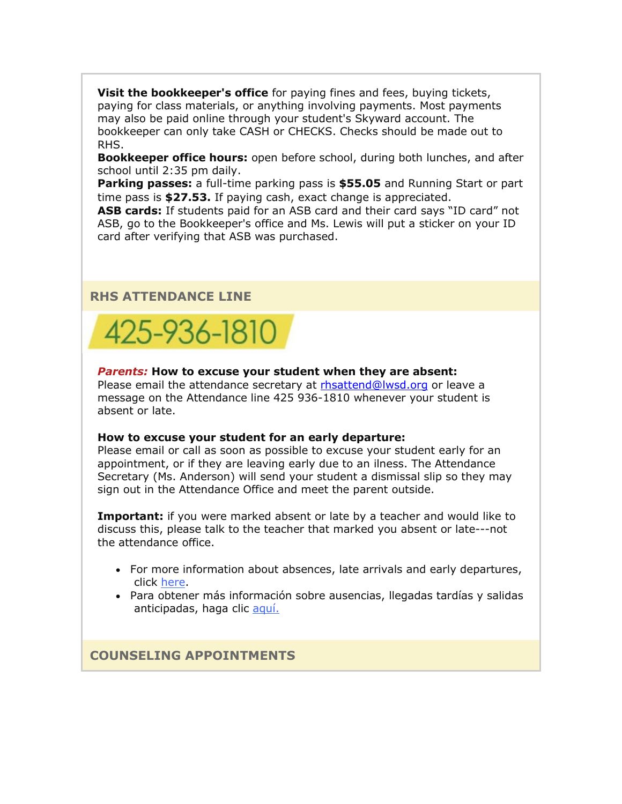**Visit the bookkeeper's office** for paying fines and fees, buying tickets, paying for class materials, or anything involving payments. Most payments may also be paid online through your student's Skyward account. The bookkeeper can only take CASH or CHECKS. Checks should be made out to RHS.

**Bookkeeper office hours:** open before school, during both lunches, and after school until 2:35 pm daily.

**Parking passes:** a full-time parking pass is **\$55.05** and Running Start or part time pass is **\$27.53.** If paying cash, exact change is appreciated.

**ASB cards:** If students paid for an ASB card and their card says "ID card" not ASB, go to the Bookkeeper's office and Ms. Lewis will put a sticker on your ID card after verifying that ASB was purchased.

## **RHS ATTENDANCE LINE**



#### *Parents:* **How to excuse your student when they are absent:**

Please email the attendance secretary at [rhsattend@lwsd.org](mailto:rhsattend@lwsd.org) or leave a message on the Attendance line 425 936-1810 whenever your student is absent or late.

#### **How to excuse your student for an early departure:**

Please email or call as soon as possible to excuse your student early for an appointment, or if they are leaving early due to an ilness. The Attendance Secretary (Ms. Anderson) will send your student a dismissal slip so they may sign out in the Attendance Office and meet the parent outside.

**Important:** if you were marked absent or late by a teacher and would like to discuss this, please talk to the teacher that marked you absent or late---not the attendance office.

- For more information about absences, late arrivals and early departures, click [here.](https://nam02.safelinks.protection.outlook.com/?url=http%3A%2F%2Flink.email.dynect.net%2Flink.php%3FDynEngagement%3Dtrue%26H%3DbyPkDFxves6EOGDn1peRNeIe02OIJH5CdLqxMLzUeO8xfJUQzDOhsO1bHLttkS3hqpXV6Nsc44yxbPt4syLkKHcdjk7h%252FC%252BMrC0fWMYPjc9PupiBzZzFvw%253D%253D%26G%3D0%26R%3Dhttps%253A%252F%252FGLITGYZTANA.hatchbuck.com%252FTrackLinkClick%253FID2%253DwWbpilyth8t4-qWZweLkArQwrXLLaRXGB5gJ5ORzO_OtziXxrgDGI7XILE-BE_UX0%26I%3D20211001223913.000000228b1c%2540mail6-64-ussnn1%26X%3DMHwxMjY0OTIyOjIyMzg0MDMyNTA7MXwxMjY0OTIzOjE3OTA1MzMwNDs%253D%26V%3D3%26S%3DKg5XeuKzFKXqrGmo5g9aP7aLXy0LpqRnQ-cnYxRj8Bs&data=04%7C01%7Cmwood%40lwsd.org%7C0f1b6766c38a45ee8fe508d9852c5129%7C1fd4673fdf9646218638a1d88c4c85d7%7C0%7C0%7C637687247656964087%7CUnknown%7CTWFpbGZsb3d8eyJWIjoiMC4wLjAwMDAiLCJQIjoiV2luMzIiLCJBTiI6Ik1haWwiLCJXVCI6Mn0%3D%7C1000&sdata=x11GgjsKIOtskR4BnRvOTK%2FTAAiA5tWp6Ff1ou8DZ%2BA%3D&reserved=0)
- Para obtener más información sobre ausencias, llegadas tardías y salidas anticipadas, haga clic [aquí.](https://nam02.safelinks.protection.outlook.com/?url=http%3A%2F%2Flink.email.dynect.net%2Flink.php%3FDynEngagement%3Dtrue%26H%3DbyPkDFxves6EOGDn1peRNeIe02OIJH5CdLqxMLzUeO8xfJUQzDOhsO1bHLttkS3hqpXV6Nsc44yxbPt4syLkKHcdjk7h%252FC%252BMrC0fWMYPjc9PupiBzZzFvw%253D%253D%26G%3D0%26R%3Dhttps%253A%252F%252FGLITGYZTANA.hatchbuck.com%252FTrackLinkClick%253FID2%253DhFhtj3exGmWFSaY2dt4JSmBn-eJtxVVDfQazXfaHZnnqooz0IhWyPkrvF55NeTqO0%26I%3D20211001223913.000000228b1c%2540mail6-64-ussnn1%26X%3DMHwxMjY0OTIyOjIyMzg0MDMyNTA7MXwxMjY0OTIzOjE3OTA1MzMwNDs%253D%26V%3D3%26S%3DS6GA-iK94xxnsp0auH4s97WcD2cvarh18P5v0MhWK7M&data=04%7C01%7Cmwood%40lwsd.org%7C0f1b6766c38a45ee8fe508d9852c5129%7C1fd4673fdf9646218638a1d88c4c85d7%7C0%7C0%7C637687247656974081%7CUnknown%7CTWFpbGZsb3d8eyJWIjoiMC4wLjAwMDAiLCJQIjoiV2luMzIiLCJBTiI6Ik1haWwiLCJXVCI6Mn0%3D%7C1000&sdata=XpyENAQAlmE5GGOhxaSciQXkj5Fpy%2Fy6I9ttIKcGocw%3D&reserved=0)

**COUNSELING APPOINTMENTS**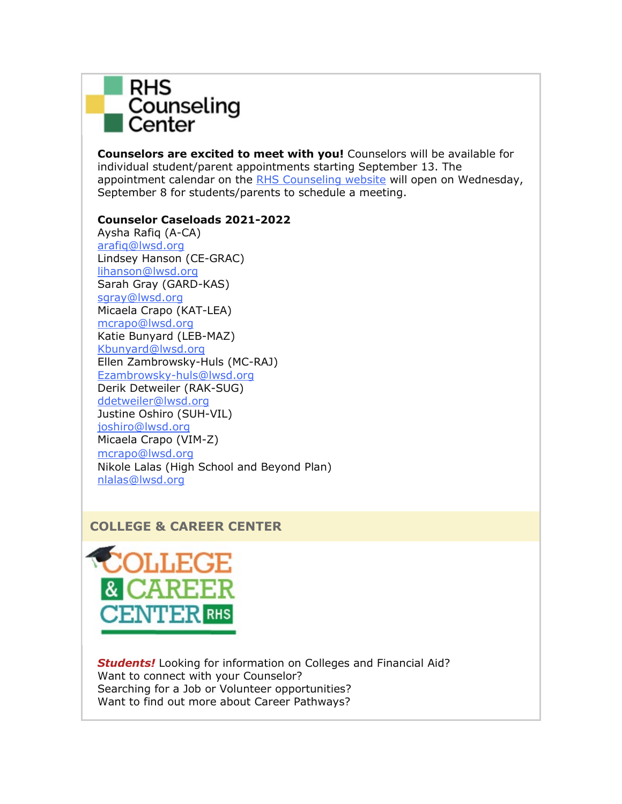

**Counselors are excited to meet with you!** Counselors will be available for individual student/parent appointments starting September 13. The appointment calendar on the [RHS Counseling website](https://nam02.safelinks.protection.outlook.com/?url=http%3A%2F%2Flink.email.dynect.net%2Flink.php%3FDynEngagement%3Dtrue%26H%3DbyPkDFxves6EOGDn1peRNeIe02OIJH5CdLqxMLzUeO8xfJUQzDOhsO1bHLttkS3hqpXV6Nsc44yxbPt4syLkKHcdjk7h%252FC%252BMrC0fWMYPjc9PupiBzZzFvw%253D%253D%26G%3D0%26R%3Dhttps%253A%252F%252FGLITGYZTANA.hatchbuck.com%252FTrackLinkClick%253FID2%253DkanrIaLRL8LWXqeDuMsKRKNc-h-w4-nz2JULu-9PCzAxUb7FvIiiDrrfnaOyi35c0%26I%3D20211001223913.000000228b1c%2540mail6-64-ussnn1%26X%3DMHwxMjY0OTIyOjIyMzg0MDMyNTA7MXwxMjY0OTIzOjE3OTA1MzMwNDs%253D%26V%3D3%26S%3DLl-ui7hl5lvETDCFllQxNPSESLw-wPvGeGb4V8Hn-H0&data=04%7C01%7Cmwood%40lwsd.org%7C0f1b6766c38a45ee8fe508d9852c5129%7C1fd4673fdf9646218638a1d88c4c85d7%7C0%7C0%7C637687247656984073%7CUnknown%7CTWFpbGZsb3d8eyJWIjoiMC4wLjAwMDAiLCJQIjoiV2luMzIiLCJBTiI6Ik1haWwiLCJXVCI6Mn0%3D%7C1000&sdata=Xu91lpHtqcwTDmrySvb9ExjVWsId0HzwKRnIXUyfWf4%3D&reserved=0) will open on Wednesday, September 8 for students/parents to schedule a meeting.

## **Counselor Caseloads 2021-2022**

Aysha Rafiq (A-CA) [arafiq@lwsd.org](mailto:arafiq@lwsd.org) Lindsey Hanson (CE-GRAC) [lihanson@lwsd.org](mailto:lihanson@lwsd.org) Sarah Gray (GARD-KAS) [sgray@lwsd.org](mailto:sgray@lwsd.org) Micaela Crapo (KAT-LEA) [mcrapo@lwsd.org](mailto:mcrapo@lwsd.org) Katie Bunyard (LEB-MAZ) [Kbunyard@lwsd.org](mailto:Kbunyard@lwsd.org) Ellen Zambrowsky-Huls (MC-RAJ) [Ezambrowsky-huls@lwsd.org](mailto:Ezambrowsky-huls@lwsd.org) Derik Detweiler (RAK-SUG) [ddetweiler@lwsd.org](mailto:ddetweiler@lwsd.org) Justine Oshiro (SUH-VIL) [joshiro@lwsd.org](mailto:joshiro@lwsd.org) Micaela Crapo (VIM-Z) [mcrapo@lwsd.org](mailto:mcrapo@lwsd.org) Nikole Lalas (High School and Beyond Plan) [nlalas@lwsd.org](mailto:nlalas@lwsd.org)

# **COLLEGE & CAREER CENTER**



*Students!* Looking for information on Colleges and Financial Aid? Want to connect with your Counselor? Searching for a Job or Volunteer opportunities? Want to find out more about Career Pathways?